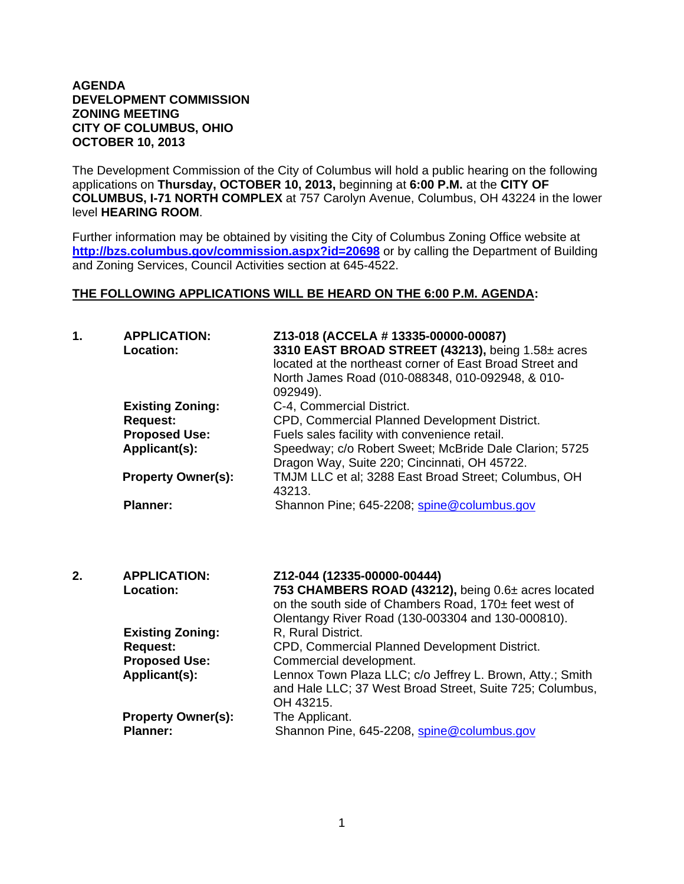## **AGENDA DEVELOPMENT COMMISSION ZONING MEETING CITY OF COLUMBUS, OHIO OCTOBER 10, 2013**

The Development Commission of the City of Columbus will hold a public hearing on the following applications on **Thursday, OCTOBER 10, 2013,** beginning at **6:00 P.M.** at the **CITY OF COLUMBUS, I-71 NORTH COMPLEX** at 757 Carolyn Avenue, Columbus, OH 43224 in the lower level **HEARING ROOM**.

Further information may be obtained by visiting the City of Columbus Zoning Office website at **http://bzs.columbus.gov/commission.aspx?id=20698** or by calling the Department of Building and Zoning Services, Council Activities section at 645-4522.

## **THE FOLLOWING APPLICATIONS WILL BE HEARD ON THE 6:00 P.M. AGENDA:**

| 1. | <b>APPLICATION:</b><br>Location: | Z13-018 (ACCELA # 13335-00000-00087)<br>3310 EAST BROAD STREET (43213), being 1.58± acres<br>located at the northeast corner of East Broad Street and<br>North James Road (010-088348, 010-092948, & 010-<br>092949). |
|----|----------------------------------|-----------------------------------------------------------------------------------------------------------------------------------------------------------------------------------------------------------------------|
|    | <b>Existing Zoning:</b>          | C-4, Commercial District.                                                                                                                                                                                             |
|    | <b>Request:</b>                  | CPD, Commercial Planned Development District.                                                                                                                                                                         |
|    | <b>Proposed Use:</b>             | Fuels sales facility with convenience retail.                                                                                                                                                                         |
|    | Applicant(s):                    | Speedway; c/o Robert Sweet; McBride Dale Clarion; 5725<br>Dragon Way, Suite 220; Cincinnati, OH 45722.                                                                                                                |
|    | <b>Property Owner(s):</b>        | TMJM LLC et al; 3288 East Broad Street; Columbus, OH<br>43213.                                                                                                                                                        |
|    | <b>Planner:</b>                  | Shannon Pine; 645-2208; spine@columbus.gov                                                                                                                                                                            |

| 2. | <b>APPLICATION:</b>       | Z12-044 (12335-00000-00444)                               |
|----|---------------------------|-----------------------------------------------------------|
|    | <b>Location:</b>          | 753 CHAMBERS ROAD (43212), being 0.6± acres located       |
|    |                           | on the south side of Chambers Road, 170± feet west of     |
|    |                           | Olentangy River Road (130-003304 and 130-000810).         |
|    | <b>Existing Zoning:</b>   | R, Rural District.                                        |
|    | <b>Request:</b>           | CPD, Commercial Planned Development District.             |
|    | <b>Proposed Use:</b>      | Commercial development.                                   |
|    | Applicant(s):             | Lennox Town Plaza LLC; c/o Jeffrey L. Brown, Atty.; Smith |
|    |                           | and Hale LLC; 37 West Broad Street, Suite 725; Columbus,  |
|    |                           | OH 43215.                                                 |
|    | <b>Property Owner(s):</b> | The Applicant.                                            |
|    | <b>Planner:</b>           | Shannon Pine, 645-2208, spine@columbus.gov                |